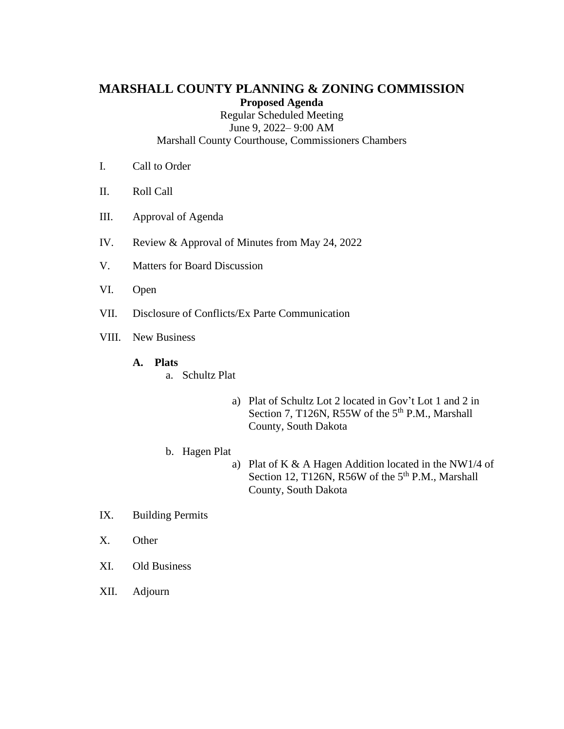# **MARSHALL COUNTY PLANNING & ZONING COMMISSION Proposed Agenda**

Regular Scheduled Meeting June 9, 2022– 9:00 AM Marshall County Courthouse, Commissioners Chambers

- I. Call to Order
- II. Roll Call
- III. Approval of Agenda
- IV. Review & Approval of Minutes from May 24, 2022
- V. Matters for Board Discussion
- VI. Open
- VII. Disclosure of Conflicts/Ex Parte Communication
- VIII. New Business

#### **A. Plats**

- a. Schultz Plat
	- a) Plat of Schultz Lot 2 located in Gov't Lot 1 and 2 in Section 7, T126N, R55W of the  $5<sup>th</sup>$  P.M., Marshall County, South Dakota

#### b. Hagen Plat

- a) Plat of K & A Hagen Addition located in the NW1/4 of Section 12, T126N, R56W of the  $5<sup>th</sup>$  P.M., Marshall County, South Dakota
- IX. Building Permits
- X. Other
- XI. Old Business
- XII. Adjourn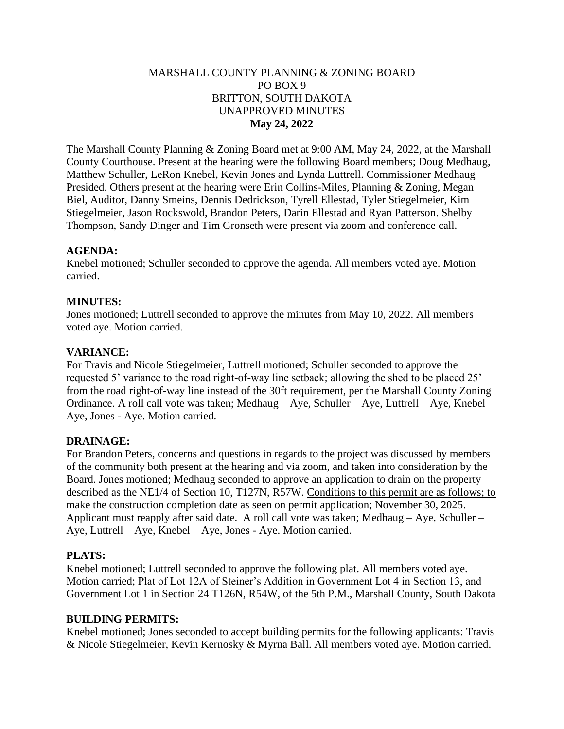# MARSHALL COUNTY PLANNING & ZONING BOARD PO BOX 9 BRITTON, SOUTH DAKOTA UNAPPROVED MINUTES **May 24, 2022**

The Marshall County Planning & Zoning Board met at 9:00 AM, May 24, 2022, at the Marshall County Courthouse. Present at the hearing were the following Board members; Doug Medhaug, Matthew Schuller, LeRon Knebel, Kevin Jones and Lynda Luttrell. Commissioner Medhaug Presided. Others present at the hearing were Erin Collins-Miles, Planning & Zoning, Megan Biel, Auditor, Danny Smeins, Dennis Dedrickson, Tyrell Ellestad, Tyler Stiegelmeier, Kim Stiegelmeier, Jason Rockswold, Brandon Peters, Darin Ellestad and Ryan Patterson. Shelby Thompson, Sandy Dinger and Tim Gronseth were present via zoom and conference call.

## **AGENDA:**

Knebel motioned; Schuller seconded to approve the agenda. All members voted aye. Motion carried.

### **MINUTES:**

Jones motioned; Luttrell seconded to approve the minutes from May 10, 2022. All members voted aye. Motion carried.

## **VARIANCE:**

For Travis and Nicole Stiegelmeier, Luttrell motioned; Schuller seconded to approve the requested 5' variance to the road right-of-way line setback; allowing the shed to be placed 25' from the road right-of-way line instead of the 30ft requirement, per the Marshall County Zoning Ordinance. A roll call vote was taken; Medhaug – Aye, Schuller – Aye, Luttrell – Aye, Knebel – Aye, Jones - Aye. Motion carried.

### **DRAINAGE:**

For Brandon Peters, concerns and questions in regards to the project was discussed by members of the community both present at the hearing and via zoom, and taken into consideration by the Board. Jones motioned; Medhaug seconded to approve an application to drain on the property described as the NE1/4 of Section 10, T127N, R57W. Conditions to this permit are as follows; to make the construction completion date as seen on permit application; November 30, 2025. Applicant must reapply after said date. A roll call vote was taken; Medhaug – Aye, Schuller – Aye, Luttrell – Aye, Knebel – Aye, Jones - Aye. Motion carried.

### **PLATS:**

Knebel motioned; Luttrell seconded to approve the following plat. All members voted aye. Motion carried; Plat of Lot 12A of Steiner's Addition in Government Lot 4 in Section 13, and Government Lot 1 in Section 24 T126N, R54W, of the 5th P.M., Marshall County, South Dakota

### **BUILDING PERMITS:**

Knebel motioned; Jones seconded to accept building permits for the following applicants: Travis & Nicole Stiegelmeier, Kevin Kernosky & Myrna Ball. All members voted aye. Motion carried.